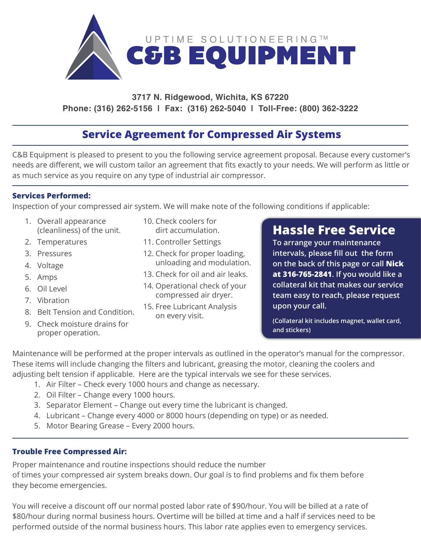

### **3717 N. Ridgewood, Wichita, KS 67220 Phone: (316) 262-5156 | Fax: (316) 262-5040 | Toll-Free: (800) 362-3222**

## **Service Agreement for Compressed Air Systems**

C&B Equipment is pleased to present to you the following service agreement proposal. Because every customer's needs are different, we will custom tailor an agreement that fits exactly to your needs. We will perform as little or as much service as you require on any type of industrial air compressor.

### **Services Performed:**

Inspection of your compressed air system. We will make note of the following conditions if applicable:

- 1. Overall appearance (cleanliness) of the unit.
- 2. Temperatures
- 3. Pressures
- 4. Voltage
- 5. Amps
- 6. Oil Level
- 7. Vibration
- 8. Belt Tension and Condition.
- 9. Check moisture drains for proper operation.
- 10. Check coolers for dirt accumulation.
- 11. Controller Settings
- 12. Check for proper loading, unloading and modulation.
- 13. Check for oil and air leaks.
- 14. Operational check of your compressed air dryer.
- 15. Free Lubricant Analysis on every visit.

# **Hassle Free Service**

**To arrange your maintenance intervals, please fill out the form on the back of this page or call Nick at 316-765-2841. If you would like a collateral kit that makes our service team easy to reach, please request upon your call.**

**(Collateral kit includes magnet, wallet card, and stickers)**

Maintenance will be performed at the proper intervals as outlined in the operator's manual for the compressor. These items will include changing the filters and lubricant, greasing the motor, cleaning the coolers and adjusting belt tension if applicable. Here are the typical intervals we see for these services.

- 1. Air Filter Check every 1000 hours and change as necessary.
- 2. Oil Filter Change every 1000 hours.
- 3. Separator Element Change out every time the lubricant is changed.
- 4. Lubricant Change every 4000 or 8000 hours (depending on type) or as needed.
- 5. Motor Bearing Grease Every 2000 hours.

### **Trouble Free Compressed Air:**

Proper maintenance and routine inspections should reduce the number of times your compressed air system breaks down. Our goal is to find problems and fix them before they become emergencies.

You will receive a discount off our normal posted labor rate of \$90/hour. You will be billed at a rate of \$80/hour during normal business hours. Overtime will be billed at time and a half if services need to be performed outside of the normal business hours. This labor rate applies even to emergency services.